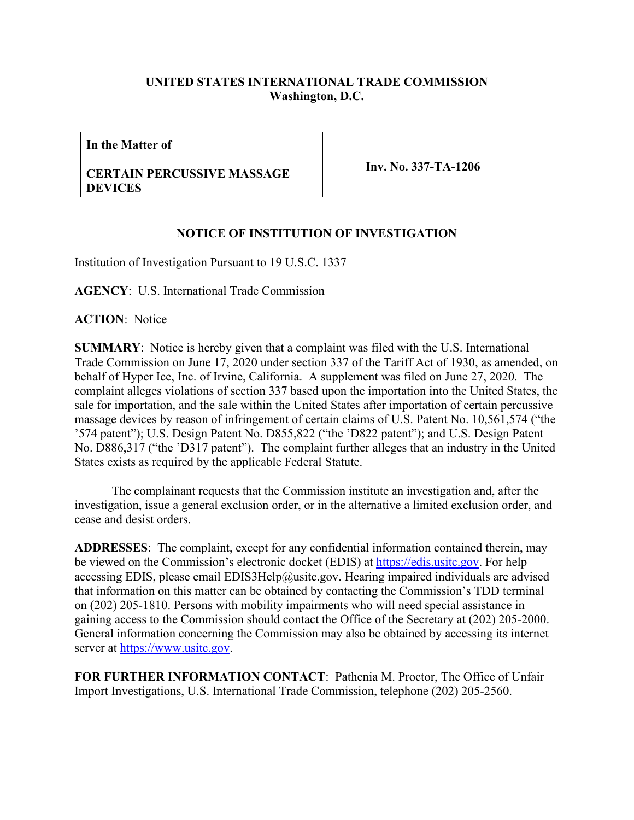## **UNITED STATES INTERNATIONAL TRADE COMMISSION Washington, D.C.**

**In the Matter of**

## **CERTAIN PERCUSSIVE MASSAGE DEVICES**

**Inv. No. 337-TA-1206**

## **NOTICE OF INSTITUTION OF INVESTIGATION**

Institution of Investigation Pursuant to 19 U.S.C. 1337

**AGENCY**: U.S. International Trade Commission

**ACTION**: Notice

**SUMMARY**: Notice is hereby given that a complaint was filed with the U.S. International Trade Commission on June 17, 2020 under section 337 of the Tariff Act of 1930, as amended, on behalf of Hyper Ice, Inc. of Irvine, California. A supplement was filed on June 27, 2020. The complaint alleges violations of section 337 based upon the importation into the United States, the sale for importation, and the sale within the United States after importation of certain percussive massage devices by reason of infringement of certain claims of U.S. Patent No. 10,561,574 ("the '574 patent"); U.S. Design Patent No. D855,822 ("the 'D822 patent"); and U.S. Design Patent No. D886,317 ("the 'D317 patent"). The complaint further alleges that an industry in the United States exists as required by the applicable Federal Statute.

The complainant requests that the Commission institute an investigation and, after the investigation, issue a general exclusion order, or in the alternative a limited exclusion order, and cease and desist orders.

**ADDRESSES**: The complaint, except for any confidential information contained therein, may be viewed on the Commission's electronic docket (EDIS) at [https://edis.usitc.gov.](https://edis.usitc.gov/) For help accessing EDIS, please email EDIS3Help@usitc.gov. Hearing impaired individuals are advised that information on this matter can be obtained by contacting the Commission's TDD terminal on (202) 205-1810. Persons with mobility impairments who will need special assistance in gaining access to the Commission should contact the Office of the Secretary at (202) 205-2000. General information concerning the Commission may also be obtained by accessing its internet server at [https://www.usitc.gov.](https://www.usitc.gov/)

**FOR FURTHER INFORMATION CONTACT**: Pathenia M. Proctor, The Office of Unfair Import Investigations, U.S. International Trade Commission, telephone (202) 205-2560.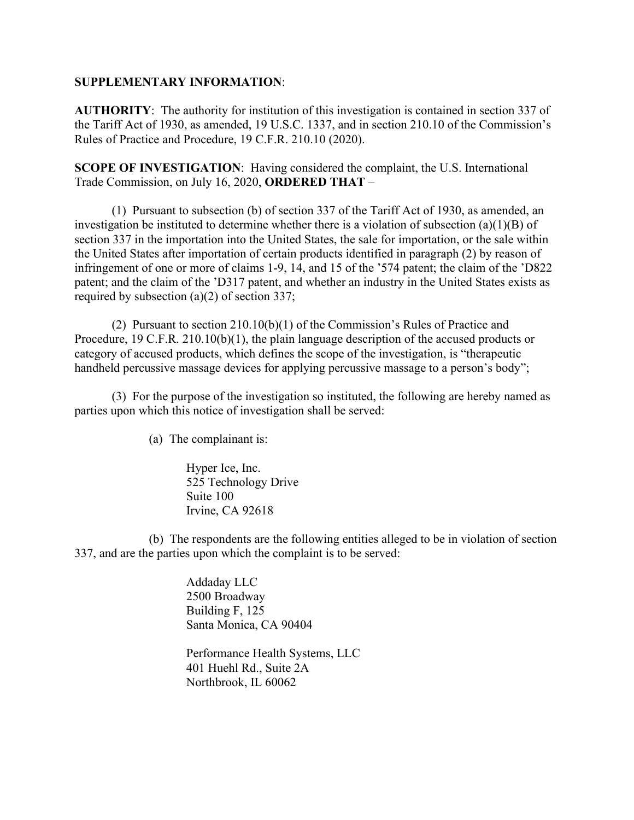## **SUPPLEMENTARY INFORMATION**:

**AUTHORITY**: The authority for institution of this investigation is contained in section 337 of the Tariff Act of 1930, as amended, 19 U.S.C. 1337, and in section 210.10 of the Commission's Rules of Practice and Procedure, 19 C.F.R. 210.10 (2020).

**SCOPE OF INVESTIGATION**: Having considered the complaint, the U.S. International Trade Commission, on July 16, 2020, **ORDERED THAT** –

(1) Pursuant to subsection (b) of section 337 of the Tariff Act of 1930, as amended, an investigation be instituted to determine whether there is a violation of subsection (a)(1)(B) of section 337 in the importation into the United States, the sale for importation, or the sale within the United States after importation of certain products identified in paragraph (2) by reason of infringement of one or more of claims 1-9, 14, and 15 of the '574 patent; the claim of the 'D822 patent; and the claim of the 'D317 patent, and whether an industry in the United States exists as required by subsection (a)(2) of section 337;

(2) Pursuant to section 210.10(b)(1) of the Commission's Rules of Practice and Procedure, 19 C.F.R. 210.10(b)(1), the plain language description of the accused products or category of accused products, which defines the scope of the investigation, is "therapeutic handheld percussive massage devices for applying percussive massage to a person's body";

(3) For the purpose of the investigation so instituted, the following are hereby named as parties upon which this notice of investigation shall be served:

(a) The complainant is:

Hyper Ice, Inc. 525 Technology Drive Suite 100 Irvine, CA 92618

(b) The respondents are the following entities alleged to be in violation of section 337, and are the parties upon which the complaint is to be served:

> Addaday LLC 2500 Broadway Building F, 125 Santa Monica, CA 90404

Performance Health Systems, LLC 401 Huehl Rd., Suite 2A Northbrook, IL 60062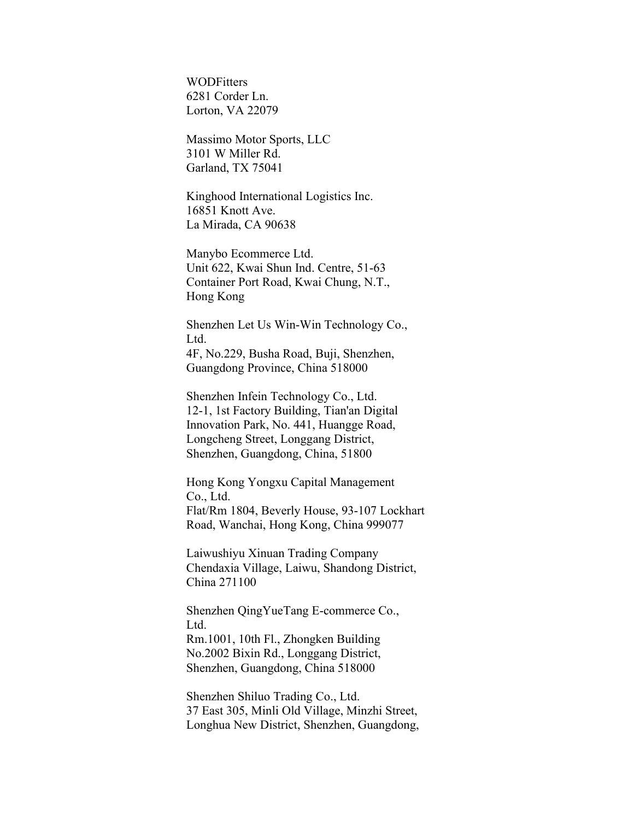**WODFitters** 6281 Corder Ln. Lorton, VA 22079

Massimo Motor Sports, LLC 3101 W Miller Rd. Garland, TX 75041

Kinghood International Logistics Inc. 16851 Knott Ave. La Mirada, CA 90638

Manybo Ecommerce Ltd. Unit 622, Kwai Shun Ind. Centre, 51-63 Container Port Road, Kwai Chung, N.T., Hong Kong

Shenzhen Let Us Win-Win Technology Co., Ltd. 4F, No.229, Busha Road, Buji, Shenzhen, Guangdong Province, China 518000

Shenzhen Infein Technology Co., Ltd. 12-1, 1st Factory Building, Tian'an Digital Innovation Park, No. 441, Huangge Road, Longcheng Street, Longgang District, Shenzhen, Guangdong, China, 51800

Hong Kong Yongxu Capital Management Co., Ltd. Flat/Rm 1804, Beverly House, 93-107 Lockhart Road, Wanchai, Hong Kong, China 999077

Laiwushiyu Xinuan Trading Company Chendaxia Village, Laiwu, Shandong District, China 271100

Shenzhen QingYueTang E-commerce Co., Ltd. Rm.1001, 10th Fl., Zhongken Building No.2002 Bixin Rd., Longgang District, Shenzhen, Guangdong, China 518000

Shenzhen Shiluo Trading Co., Ltd. 37 East 305, Minli Old Village, Minzhi Street, Longhua New District, Shenzhen, Guangdong,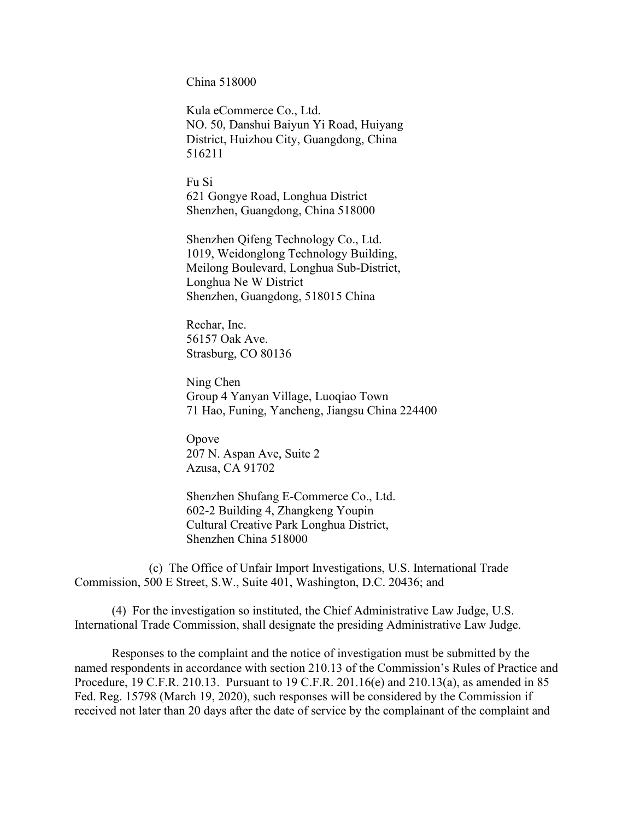China 518000

Kula eCommerce Co., Ltd. NO. 50, Danshui Baiyun Yi Road, Huiyang District, Huizhou City, Guangdong, China 516211

Fu Si 621 Gongye Road, Longhua District Shenzhen, Guangdong, China 518000

Shenzhen Qifeng Technology Co., Ltd. 1019, Weidonglong Technology Building, Meilong Boulevard, Longhua Sub-District, Longhua Ne W District Shenzhen, Guangdong, 518015 China

Rechar, Inc. 56157 Oak Ave. Strasburg, CO 80136

Ning Chen Group 4 Yanyan Village, Luoqiao Town 71 Hao, Funing, Yancheng, Jiangsu China 224400

Opove 207 N. Aspan Ave, Suite 2 Azusa, CA 91702

Shenzhen Shufang E-Commerce Co., Ltd. 602-2 Building 4, Zhangkeng Youpin Cultural Creative Park Longhua District, Shenzhen China 518000

(c) The Office of Unfair Import Investigations, U.S. International Trade Commission, 500 E Street, S.W., Suite 401, Washington, D.C. 20436; and

(4) For the investigation so instituted, the Chief Administrative Law Judge, U.S. International Trade Commission, shall designate the presiding Administrative Law Judge.

Responses to the complaint and the notice of investigation must be submitted by the named respondents in accordance with section 210.13 of the Commission's Rules of Practice and Procedure, 19 C.F.R. 210.13. Pursuant to 19 C.F.R. 201.16(e) and 210.13(a), as amended in 85 Fed. Reg. 15798 (March 19, 2020), such responses will be considered by the Commission if received not later than 20 days after the date of service by the complainant of the complaint and